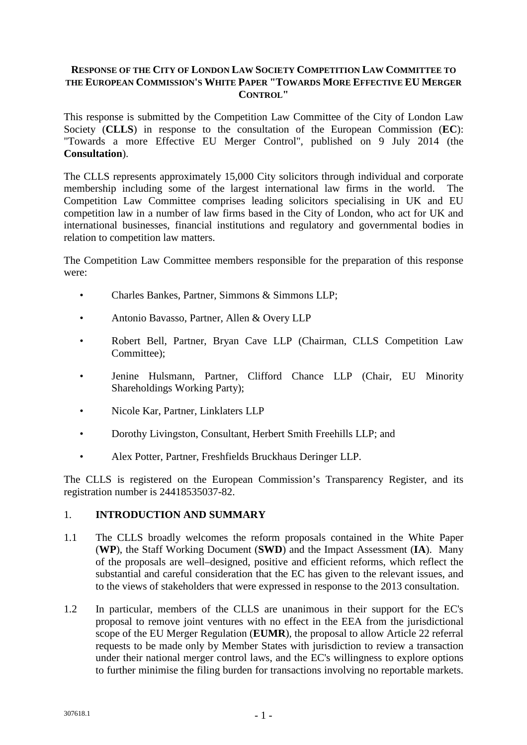### **RESPONSE OF THE CITY OF LONDON LAW SOCIETY COMPETITION LAW COMMITTEE TO THE EUROPEAN COMMISSION'S WHITE PAPER "TOWARDS MORE EFFECTIVE EU MERGER CONTROL"**

This response is submitted by the Competition Law Committee of the City of London Law Society (**CLLS**) in response to the consultation of the European Commission (**EC**): "Towards a more Effective EU Merger Control", published on 9 July 2014 (the **Consultation**).

The CLLS represents approximately 15,000 City solicitors through individual and corporate membership including some of the largest international law firms in the world. The Competition Law Committee comprises leading solicitors specialising in UK and EU competition law in a number of law firms based in the City of London, who act for UK and international businesses, financial institutions and regulatory and governmental bodies in relation to competition law matters.

The Competition Law Committee members responsible for the preparation of this response were:

- Charles Bankes, Partner, Simmons & Simmons LLP;
- Antonio Bavasso, Partner, Allen & Overy LLP
- Robert Bell, Partner, Bryan Cave LLP (Chairman, CLLS Competition Law Committee):
- Jenine Hulsmann, Partner, Clifford Chance LLP (Chair, EU Minority Shareholdings Working Party);
- Nicole Kar, Partner, Linklaters LLP
- Dorothy Livingston, Consultant, Herbert Smith Freehills LLP; and
- Alex Potter, Partner, Freshfields Bruckhaus Deringer LLP.

The CLLS is registered on the European Commission's Transparency Register, and its registration number is 24418535037-82.

### 1. **INTRODUCTION AND SUMMARY**

- 1.1 The CLLS broadly welcomes the reform proposals contained in the White Paper (**WP**), the Staff Working Document (**SWD**) and the Impact Assessment (**IA**). Many of the proposals are well–designed, positive and efficient reforms, which reflect the substantial and careful consideration that the EC has given to the relevant issues, and to the views of stakeholders that were expressed in response to the 2013 consultation.
- 1.2 In particular, members of the CLLS are unanimous in their support for the EC's proposal to remove joint ventures with no effect in the EEA from the jurisdictional scope of the EU Merger Regulation (**EUMR**), the proposal to allow Article 22 referral requests to be made only by Member States with jurisdiction to review a transaction under their national merger control laws, and the EC's willingness to explore options to further minimise the filing burden for transactions involving no reportable markets.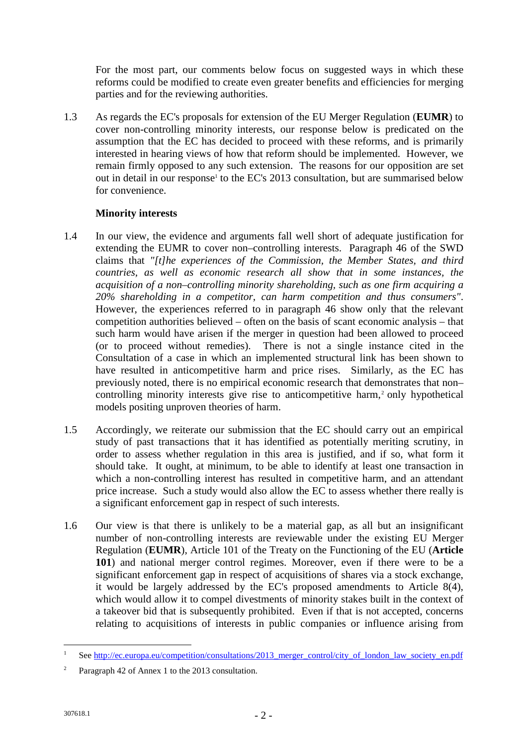For the most part, our comments below focus on suggested ways in which these reforms could be modified to create even greater benefits and efficiencies for merging parties and for the reviewing authorities.

1.3 As regards the EC's proposals for extension of the EU Merger Regulation (**EUMR**) to cover non-controlling minority interests, our response below is predicated on the assumption that the EC has decided to proceed with these reforms, and is primarily interested in hearing views of how that reform should be implemented. However, we remain firmly opposed to any such extension. The reasons for our opposition are set out in detail in our response<sup>1</sup> to the EC's 2013 consultation, but are summarised below for convenience.

# **Minority interests**

- 1.4 In our view, the evidence and arguments fall well short of adequate justification for extending the EUMR to cover non–controlling interests. Paragraph 46 of the SWD claims that *"[t]he experiences of the Commission, the Member States, and third countries, as well as economic research all show that in some instances, the acquisition of a non–controlling minority shareholding, such as one firm acquiring a 20% shareholding in a competitor, can harm competition and thus consumers"*. However, the experiences referred to in paragraph 46 show only that the relevant competition authorities believed – often on the basis of scant economic analysis – that such harm would have arisen if the merger in question had been allowed to proceed (or to proceed without remedies). There is not a single instance cited in the Consultation of a case in which an implemented structural link has been shown to have resulted in anticompetitive harm and price rises. Similarly, as the EC has previously noted, there is no empirical economic research that demonstrates that non– controlling minority interests give rise to anticompetitive harm,<sup>2</sup> only hypothetical models positing unproven theories of harm.
- 1.5 Accordingly, we reiterate our submission that the EC should carry out an empirical study of past transactions that it has identified as potentially meriting scrutiny, in order to assess whether regulation in this area is justified, and if so, what form it should take. It ought, at minimum, to be able to identify at least one transaction in which a non-controlling interest has resulted in competitive harm, and an attendant price increase. Such a study would also allow the EC to assess whether there really is a significant enforcement gap in respect of such interests.
- 1.6 Our view is that there is unlikely to be a material gap, as all but an insignificant number of non-controlling interests are reviewable under the existing EU Merger Regulation (**EUMR**), Article 101 of the Treaty on the Functioning of the EU (**Article 101**) and national merger control regimes. Moreover, even if there were to be a significant enforcement gap in respect of acquisitions of shares via a stock exchange, it would be largely addressed by the EC's proposed amendments to Article 8(4), which would allow it to compel divestments of minority stakes built in the context of a takeover bid that is subsequently prohibited. Even if that is not accepted, concerns relating to acquisitions of interests in public companies or influence arising from

See http://ec.europa.eu/competition/consultations/2013\_merger\_control/city\_of\_london\_law\_society\_en.pdf

<sup>2</sup> Paragraph 42 of Annex 1 to the 2013 consultation.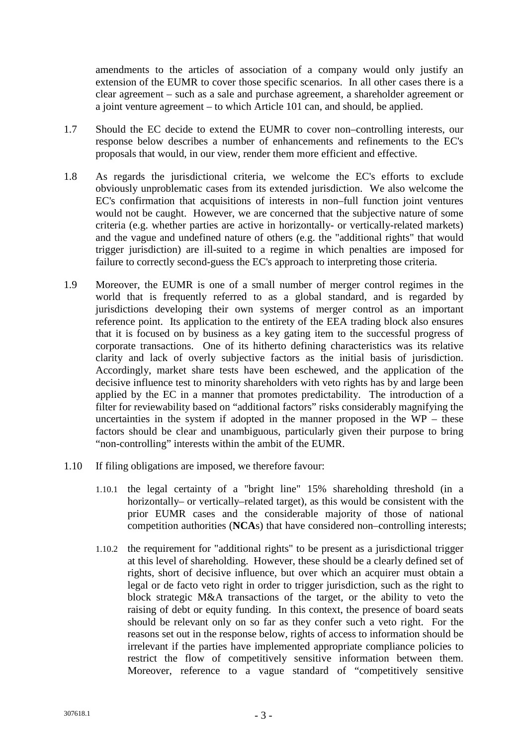amendments to the articles of association of a company would only justify an extension of the EUMR to cover those specific scenarios. In all other cases there is a clear agreement – such as a sale and purchase agreement, a shareholder agreement or a joint venture agreement – to which Article 101 can, and should, be applied.

- 1.7 Should the EC decide to extend the EUMR to cover non–controlling interests, our response below describes a number of enhancements and refinements to the EC's proposals that would, in our view, render them more efficient and effective.
- 1.8 As regards the jurisdictional criteria, we welcome the EC's efforts to exclude obviously unproblematic cases from its extended jurisdiction. We also welcome the EC's confirmation that acquisitions of interests in non–full function joint ventures would not be caught. However, we are concerned that the subjective nature of some criteria (e.g. whether parties are active in horizontally- or vertically-related markets) and the vague and undefined nature of others (e.g. the "additional rights" that would trigger jurisdiction) are ill-suited to a regime in which penalties are imposed for failure to correctly second-guess the EC's approach to interpreting those criteria.
- 1.9 Moreover, the EUMR is one of a small number of merger control regimes in the world that is frequently referred to as a global standard, and is regarded by jurisdictions developing their own systems of merger control as an important reference point. Its application to the entirety of the EEA trading block also ensures that it is focused on by business as a key gating item to the successful progress of corporate transactions. One of its hitherto defining characteristics was its relative clarity and lack of overly subjective factors as the initial basis of jurisdiction. Accordingly, market share tests have been eschewed, and the application of the decisive influence test to minority shareholders with veto rights has by and large been applied by the EC in a manner that promotes predictability. The introduction of a filter for reviewability based on "additional factors" risks considerably magnifying the uncertainties in the system if adopted in the manner proposed in the  $WP$  – these factors should be clear and unambiguous, particularly given their purpose to bring "non-controlling" interests within the ambit of the EUMR.
- 1.10 If filing obligations are imposed, we therefore favour:
	- 1.10.1 the legal certainty of a "bright line" 15% shareholding threshold (in a horizontally– or vertically–related target), as this would be consistent with the prior EUMR cases and the considerable majority of those of national competition authorities (**NCA**s) that have considered non–controlling interests;
	- 1.10.2 the requirement for "additional rights" to be present as a jurisdictional trigger at this level of shareholding. However, these should be a clearly defined set of rights, short of decisive influence, but over which an acquirer must obtain a legal or de facto veto right in order to trigger jurisdiction, such as the right to block strategic M&A transactions of the target, or the ability to veto the raising of debt or equity funding. In this context, the presence of board seats should be relevant only on so far as they confer such a veto right. For the reasons set out in the response below, rights of access to information should be irrelevant if the parties have implemented appropriate compliance policies to restrict the flow of competitively sensitive information between them. Moreover, reference to a vague standard of "competitively sensitive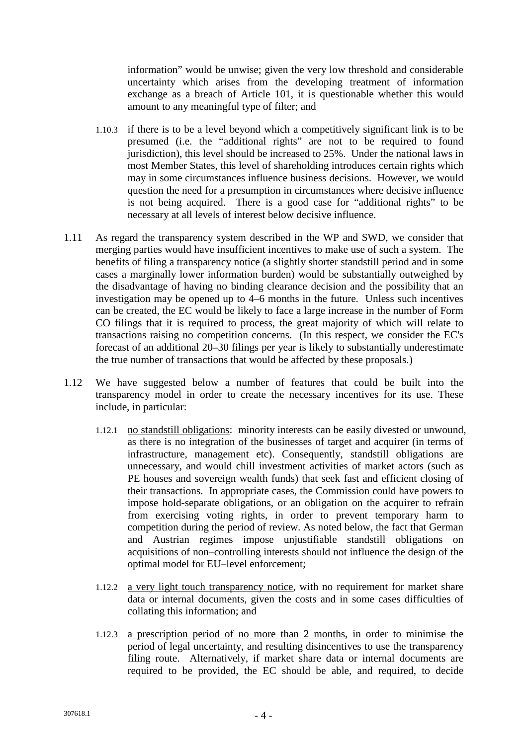information" would be unwise; given the very low threshold and considerable uncertainty which arises from the developing treatment of information exchange as a breach of Article 101, it is questionable whether this would amount to any meaningful type of filter; and

- 1.10.3 if there is to be a level beyond which a competitively significant link is to be presumed (i.e. the "additional rights" are not to be required to found jurisdiction), this level should be increased to 25%. Under the national laws in most Member States, this level of shareholding introduces certain rights which may in some circumstances influence business decisions. However, we would question the need for a presumption in circumstances where decisive influence is not being acquired. There is a good case for "additional rights" to be necessary at all levels of interest below decisive influence.
- 1.11 As regard the transparency system described in the WP and SWD, we consider that merging parties would have insufficient incentives to make use of such a system. The benefits of filing a transparency notice (a slightly shorter standstill period and in some cases a marginally lower information burden) would be substantially outweighed by the disadvantage of having no binding clearance decision and the possibility that an investigation may be opened up to 4–6 months in the future. Unless such incentives can be created, the EC would be likely to face a large increase in the number of Form CO filings that it is required to process, the great majority of which will relate to transactions raising no competition concerns. (In this respect, we consider the EC's forecast of an additional 20–30 filings per year is likely to substantially underestimate the true number of transactions that would be affected by these proposals.)
- 1.12 We have suggested below a number of features that could be built into the transparency model in order to create the necessary incentives for its use. These include, in particular:
	- 1.12.1 no standstill obligations: minority interests can be easily divested or unwound, as there is no integration of the businesses of target and acquirer (in terms of infrastructure, management etc). Consequently, standstill obligations are unnecessary, and would chill investment activities of market actors (such as PE houses and sovereign wealth funds) that seek fast and efficient closing of their transactions. In appropriate cases, the Commission could have powers to impose hold-separate obligations, or an obligation on the acquirer to refrain from exercising voting rights, in order to prevent temporary harm to competition during the period of review. As noted below, the fact that German and Austrian regimes impose unjustifiable standstill obligations on acquisitions of non–controlling interests should not influence the design of the optimal model for EU–level enforcement;
	- 1.12.2 a very light touch transparency notice, with no requirement for market share data or internal documents, given the costs and in some cases difficulties of collating this information; and
	- 1.12.3 a prescription period of no more than 2 months, in order to minimise the period of legal uncertainty, and resulting disincentives to use the transparency filing route. Alternatively, if market share data or internal documents are required to be provided, the EC should be able, and required, to decide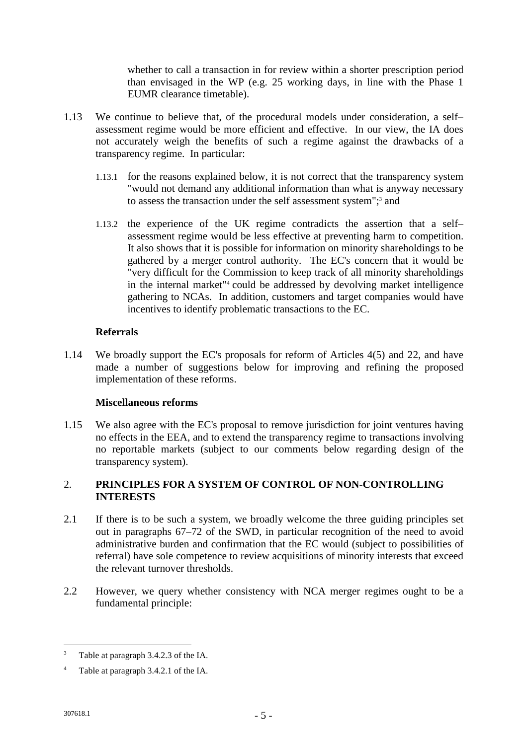whether to call a transaction in for review within a shorter prescription period than envisaged in the WP (e.g. 25 working days, in line with the Phase 1 EUMR clearance timetable).

- 1.13 We continue to believe that, of the procedural models under consideration, a self– assessment regime would be more efficient and effective. In our view, the IA does not accurately weigh the benefits of such a regime against the drawbacks of a transparency regime. In particular:
	- 1.13.1 for the reasons explained below, it is not correct that the transparency system "would not demand any additional information than what is anyway necessary to assess the transaction under the self assessment system";<sup>3</sup> and
	- 1.13.2 the experience of the UK regime contradicts the assertion that a self– assessment regime would be less effective at preventing harm to competition. It also shows that it is possible for information on minority shareholdings to be gathered by a merger control authority. The EC's concern that it would be "very difficult for the Commission to keep track of all minority shareholdings in the internal market"<sup>4</sup> could be addressed by devolving market intelligence gathering to NCAs. In addition, customers and target companies would have incentives to identify problematic transactions to the EC.

### **Referrals**

1.14 We broadly support the EC's proposals for reform of Articles 4(5) and 22, and have made a number of suggestions below for improving and refining the proposed implementation of these reforms.

# **Miscellaneous reforms**

1.15 We also agree with the EC's proposal to remove jurisdiction for joint ventures having no effects in the EEA, and to extend the transparency regime to transactions involving no reportable markets (subject to our comments below regarding design of the transparency system).

# 2. **PRINCIPLES FOR A SYSTEM OF CONTROL OF NON-CONTROLLING INTERESTS**

- 2.1 If there is to be such a system, we broadly welcome the three guiding principles set out in paragraphs 67–72 of the SWD, in particular recognition of the need to avoid administrative burden and confirmation that the EC would (subject to possibilities of referral) have sole competence to review acquisitions of minority interests that exceed the relevant turnover thresholds.
- 2.2 However, we query whether consistency with NCA merger regimes ought to be a fundamental principle:

<sup>&</sup>lt;sup>3</sup> Table at paragraph 3.4.2.3 of the IA.

<sup>4</sup> Table at paragraph 3.4.2.1 of the IA.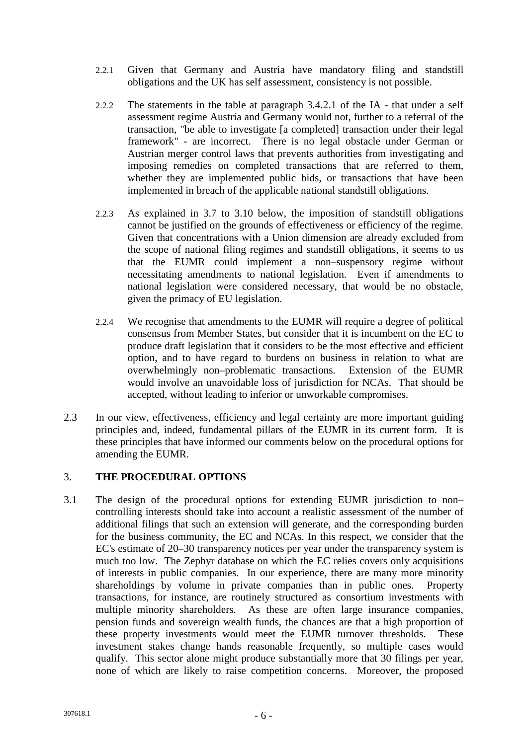- 2.2.1 Given that Germany and Austria have mandatory filing and standstill obligations and the UK has self assessment, consistency is not possible.
- 2.2.2 The statements in the table at paragraph 3.4.2.1 of the IA that under a self assessment regime Austria and Germany would not, further to a referral of the transaction, "be able to investigate [a completed] transaction under their legal framework" - are incorrect. There is no legal obstacle under German or Austrian merger control laws that prevents authorities from investigating and imposing remedies on completed transactions that are referred to them, whether they are implemented public bids, or transactions that have been implemented in breach of the applicable national standstill obligations.
- 2.2.3 As explained in 3.7 to 3.10 below, the imposition of standstill obligations cannot be justified on the grounds of effectiveness or efficiency of the regime. Given that concentrations with a Union dimension are already excluded from the scope of national filing regimes and standstill obligations, it seems to us that the EUMR could implement a non–suspensory regime without necessitating amendments to national legislation. Even if amendments to national legislation were considered necessary, that would be no obstacle, given the primacy of EU legislation.
- 2.2.4 We recognise that amendments to the EUMR will require a degree of political consensus from Member States, but consider that it is incumbent on the EC to produce draft legislation that it considers to be the most effective and efficient option, and to have regard to burdens on business in relation to what are overwhelmingly non–problematic transactions. Extension of the EUMR would involve an unavoidable loss of jurisdiction for NCAs. That should be accepted, without leading to inferior or unworkable compromises.
- 2.3 In our view, effectiveness, efficiency and legal certainty are more important guiding principles and, indeed, fundamental pillars of the EUMR in its current form. It is these principles that have informed our comments below on the procedural options for amending the EUMR.

# 3. **THE PROCEDURAL OPTIONS**

3.1 The design of the procedural options for extending EUMR jurisdiction to non– controlling interests should take into account a realistic assessment of the number of additional filings that such an extension will generate, and the corresponding burden for the business community, the EC and NCAs. In this respect, we consider that the EC's estimate of 20–30 transparency notices per year under the transparency system is much too low. The Zephyr database on which the EC relies covers only acquisitions of interests in public companies. In our experience, there are many more minority shareholdings by volume in private companies than in public ones. Property transactions, for instance, are routinely structured as consortium investments with multiple minority shareholders. As these are often large insurance companies, pension funds and sovereign wealth funds, the chances are that a high proportion of these property investments would meet the EUMR turnover thresholds. These investment stakes change hands reasonable frequently, so multiple cases would qualify. This sector alone might produce substantially more that 30 filings per year, none of which are likely to raise competition concerns. Moreover, the proposed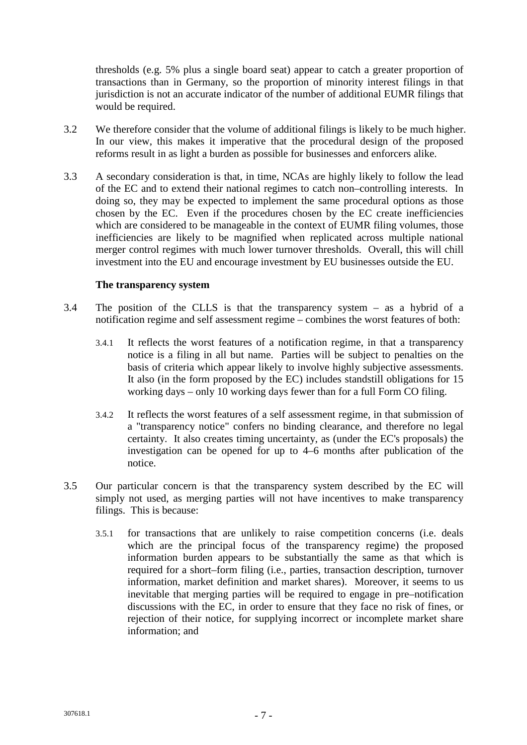thresholds (e.g. 5% plus a single board seat) appear to catch a greater proportion of transactions than in Germany, so the proportion of minority interest filings in that jurisdiction is not an accurate indicator of the number of additional EUMR filings that would be required.

- 3.2 We therefore consider that the volume of additional filings is likely to be much higher. In our view, this makes it imperative that the procedural design of the proposed reforms result in as light a burden as possible for businesses and enforcers alike.
- 3.3 A secondary consideration is that, in time, NCAs are highly likely to follow the lead of the EC and to extend their national regimes to catch non–controlling interests. In doing so, they may be expected to implement the same procedural options as those chosen by the EC. Even if the procedures chosen by the EC create inefficiencies which are considered to be manageable in the context of EUMR filing volumes, those inefficiencies are likely to be magnified when replicated across multiple national merger control regimes with much lower turnover thresholds. Overall, this will chill investment into the EU and encourage investment by EU businesses outside the EU.

### **The transparency system**

- 3.4 The position of the CLLS is that the transparency system as a hybrid of a notification regime and self assessment regime – combines the worst features of both:
	- 3.4.1 It reflects the worst features of a notification regime, in that a transparency notice is a filing in all but name. Parties will be subject to penalties on the basis of criteria which appear likely to involve highly subjective assessments. It also (in the form proposed by the EC) includes standstill obligations for 15 working days – only 10 working days fewer than for a full Form CO filing.
	- 3.4.2 It reflects the worst features of a self assessment regime, in that submission of a "transparency notice" confers no binding clearance, and therefore no legal certainty. It also creates timing uncertainty, as (under the EC's proposals) the investigation can be opened for up to 4–6 months after publication of the notice.
- 3.5 Our particular concern is that the transparency system described by the EC will simply not used, as merging parties will not have incentives to make transparency filings. This is because:
	- 3.5.1 for transactions that are unlikely to raise competition concerns (i.e. deals which are the principal focus of the transparency regime) the proposed information burden appears to be substantially the same as that which is required for a short–form filing (i.e., parties, transaction description, turnover information, market definition and market shares). Moreover, it seems to us inevitable that merging parties will be required to engage in pre–notification discussions with the EC, in order to ensure that they face no risk of fines, or rejection of their notice, for supplying incorrect or incomplete market share information; and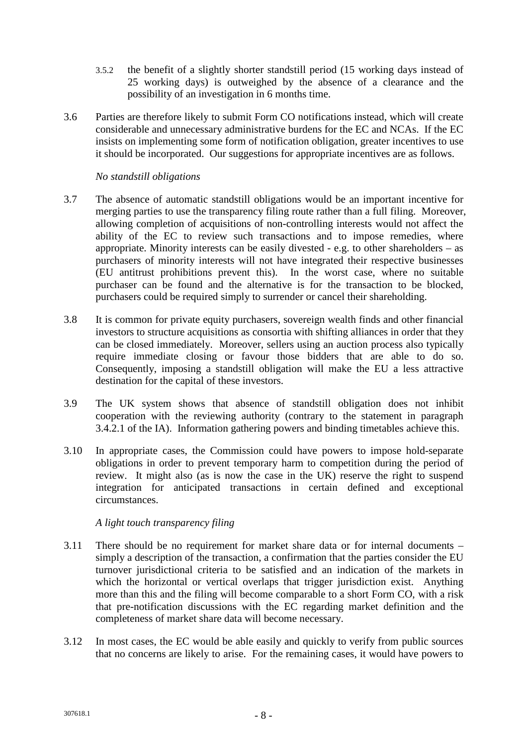- 3.5.2 the benefit of a slightly shorter standstill period (15 working days instead of 25 working days) is outweighed by the absence of a clearance and the possibility of an investigation in 6 months time.
- 3.6 Parties are therefore likely to submit Form CO notifications instead, which will create considerable and unnecessary administrative burdens for the EC and NCAs. If the EC insists on implementing some form of notification obligation, greater incentives to use it should be incorporated. Our suggestions for appropriate incentives are as follows.

### *No standstill obligations*

- 3.7 The absence of automatic standstill obligations would be an important incentive for merging parties to use the transparency filing route rather than a full filing. Moreover, allowing completion of acquisitions of non-controlling interests would not affect the ability of the EC to review such transactions and to impose remedies, where appropriate. Minority interests can be easily divested - e.g. to other shareholders – as purchasers of minority interests will not have integrated their respective businesses (EU antitrust prohibitions prevent this). In the worst case, where no suitable purchaser can be found and the alternative is for the transaction to be blocked, purchasers could be required simply to surrender or cancel their shareholding.
- 3.8 It is common for private equity purchasers, sovereign wealth finds and other financial investors to structure acquisitions as consortia with shifting alliances in order that they can be closed immediately. Moreover, sellers using an auction process also typically require immediate closing or favour those bidders that are able to do so. Consequently, imposing a standstill obligation will make the EU a less attractive destination for the capital of these investors.
- 3.9 The UK system shows that absence of standstill obligation does not inhibit cooperation with the reviewing authority (contrary to the statement in paragraph 3.4.2.1 of the IA). Information gathering powers and binding timetables achieve this.
- 3.10 In appropriate cases, the Commission could have powers to impose hold-separate obligations in order to prevent temporary harm to competition during the period of review. It might also (as is now the case in the UK) reserve the right to suspend integration for anticipated transactions in certain defined and exceptional circumstances.

# *A light touch transparency filing*

- 3.11 There should be no requirement for market share data or for internal documents simply a description of the transaction, a confirmation that the parties consider the EU turnover jurisdictional criteria to be satisfied and an indication of the markets in which the horizontal or vertical overlaps that trigger jurisdiction exist. Anything more than this and the filing will become comparable to a short Form CO, with a risk that pre-notification discussions with the EC regarding market definition and the completeness of market share data will become necessary.
- 3.12 In most cases, the EC would be able easily and quickly to verify from public sources that no concerns are likely to arise. For the remaining cases, it would have powers to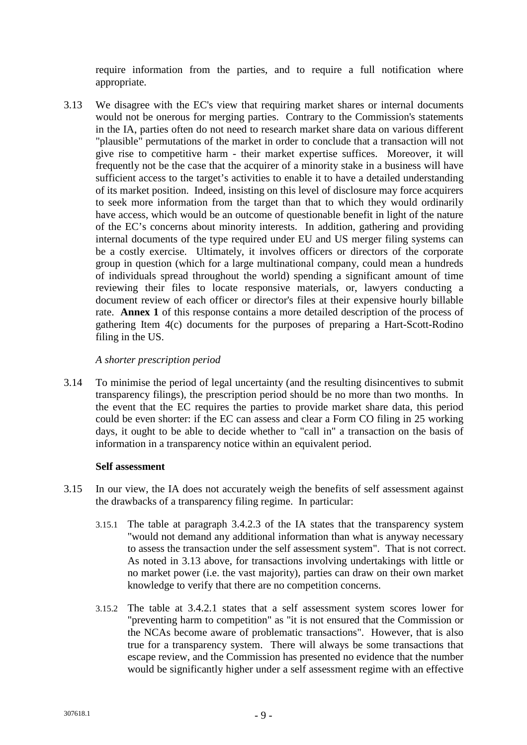require information from the parties, and to require a full notification where appropriate.

3.13 We disagree with the EC's view that requiring market shares or internal documents would not be onerous for merging parties. Contrary to the Commission's statements in the IA, parties often do not need to research market share data on various different "plausible" permutations of the market in order to conclude that a transaction will not give rise to competitive harm - their market expertise suffices. Moreover, it will frequently not be the case that the acquirer of a minority stake in a business will have sufficient access to the target's activities to enable it to have a detailed understanding of its market position. Indeed, insisting on this level of disclosure may force acquirers to seek more information from the target than that to which they would ordinarily have access, which would be an outcome of questionable benefit in light of the nature of the EC's concerns about minority interests. In addition, gathering and providing internal documents of the type required under EU and US merger filing systems can be a costly exercise. Ultimately, it involves officers or directors of the corporate group in question (which for a large multinational company, could mean a hundreds of individuals spread throughout the world) spending a significant amount of time reviewing their files to locate responsive materials, or, lawyers conducting a document review of each officer or director's files at their expensive hourly billable rate. **Annex 1** of this response contains a more detailed description of the process of gathering Item 4(c) documents for the purposes of preparing a Hart-Scott-Rodino filing in the US.

# *A shorter prescription period*

3.14 To minimise the period of legal uncertainty (and the resulting disincentives to submit transparency filings), the prescription period should be no more than two months. In the event that the EC requires the parties to provide market share data, this period could be even shorter: if the EC can assess and clear a Form CO filing in 25 working days, it ought to be able to decide whether to "call in" a transaction on the basis of information in a transparency notice within an equivalent period.

### **Self assessment**

- 3.15 In our view, the IA does not accurately weigh the benefits of self assessment against the drawbacks of a transparency filing regime. In particular:
	- 3.15.1 The table at paragraph 3.4.2.3 of the IA states that the transparency system "would not demand any additional information than what is anyway necessary to assess the transaction under the self assessment system". That is not correct. As noted in 3.13 above, for transactions involving undertakings with little or no market power (i.e. the vast majority), parties can draw on their own market knowledge to verify that there are no competition concerns.
	- 3.15.2 The table at 3.4.2.1 states that a self assessment system scores lower for "preventing harm to competition" as "it is not ensured that the Commission or the NCAs become aware of problematic transactions". However, that is also true for a transparency system. There will always be some transactions that escape review, and the Commission has presented no evidence that the number would be significantly higher under a self assessment regime with an effective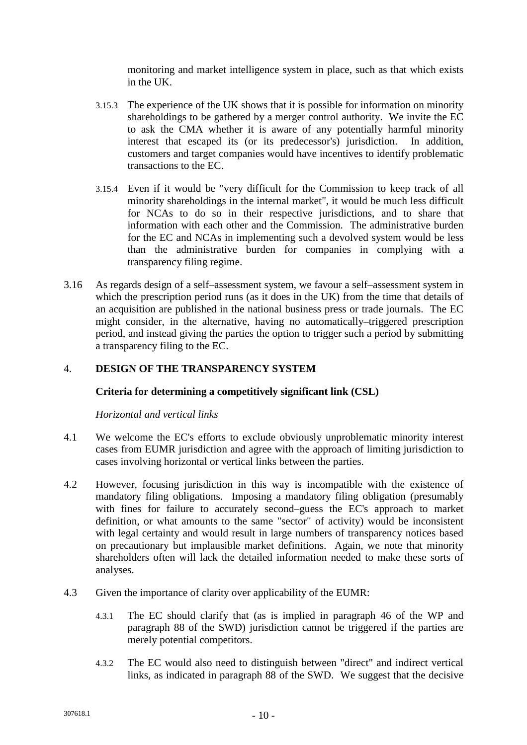monitoring and market intelligence system in place, such as that which exists in the UK.

- 3.15.3 The experience of the UK shows that it is possible for information on minority shareholdings to be gathered by a merger control authority. We invite the EC to ask the CMA whether it is aware of any potentially harmful minority interest that escaped its (or its predecessor's) jurisdiction. In addition, customers and target companies would have incentives to identify problematic transactions to the EC.
- 3.15.4 Even if it would be "very difficult for the Commission to keep track of all minority shareholdings in the internal market", it would be much less difficult for NCAs to do so in their respective jurisdictions, and to share that information with each other and the Commission. The administrative burden for the EC and NCAs in implementing such a devolved system would be less than the administrative burden for companies in complying with a transparency filing regime.
- 3.16 As regards design of a self–assessment system, we favour a self–assessment system in which the prescription period runs (as it does in the UK) from the time that details of an acquisition are published in the national business press or trade journals. The EC might consider, in the alternative, having no automatically–triggered prescription period, and instead giving the parties the option to trigger such a period by submitting a transparency filing to the EC.

# 4. **DESIGN OF THE TRANSPARENCY SYSTEM**

# **Criteria for determining a competitively significant link (CSL)**

*Horizontal and vertical links*

- 4.1 We welcome the EC's efforts to exclude obviously unproblematic minority interest cases from EUMR jurisdiction and agree with the approach of limiting jurisdiction to cases involving horizontal or vertical links between the parties.
- 4.2 However, focusing jurisdiction in this way is incompatible with the existence of mandatory filing obligations. Imposing a mandatory filing obligation (presumably with fines for failure to accurately second–guess the EC's approach to market definition, or what amounts to the same "sector" of activity) would be inconsistent with legal certainty and would result in large numbers of transparency notices based on precautionary but implausible market definitions. Again, we note that minority shareholders often will lack the detailed information needed to make these sorts of analyses.
- 4.3 Given the importance of clarity over applicability of the EUMR:
	- 4.3.1 The EC should clarify that (as is implied in paragraph 46 of the WP and paragraph 88 of the SWD) jurisdiction cannot be triggered if the parties are merely potential competitors.
	- 4.3.2 The EC would also need to distinguish between "direct" and indirect vertical links, as indicated in paragraph 88 of the SWD. We suggest that the decisive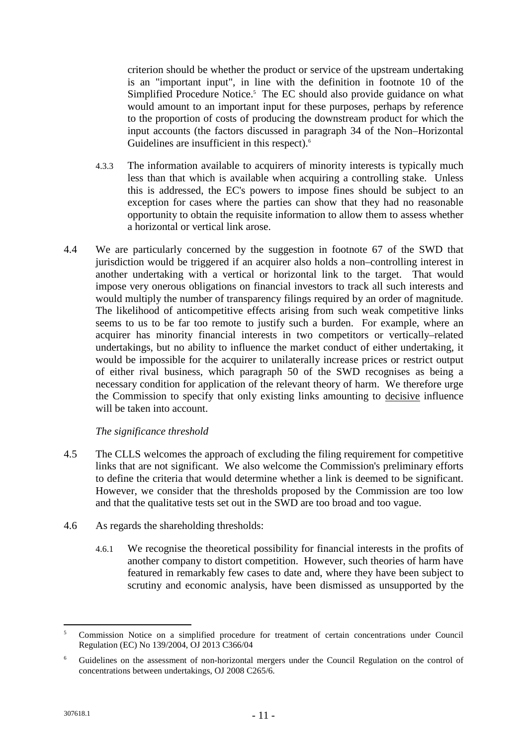criterion should be whether the product or service of the upstream undertaking is an "important input", in line with the definition in footnote 10 of the Simplified Procedure Notice.<sup>5</sup> The EC should also provide guidance on what would amount to an important input for these purposes, perhaps by reference to the proportion of costs of producing the downstream product for which the input accounts (the factors discussed in paragraph 34 of the Non–Horizontal Guidelines are insufficient in this respect).<sup>6</sup>

- 4.3.3 The information available to acquirers of minority interests is typically much less than that which is available when acquiring a controlling stake. Unless this is addressed, the EC's powers to impose fines should be subject to an exception for cases where the parties can show that they had no reasonable opportunity to obtain the requisite information to allow them to assess whether a horizontal or vertical link arose.
- 4.4 We are particularly concerned by the suggestion in footnote 67 of the SWD that jurisdiction would be triggered if an acquirer also holds a non–controlling interest in another undertaking with a vertical or horizontal link to the target. That would impose very onerous obligations on financial investors to track all such interests and would multiply the number of transparency filings required by an order of magnitude. The likelihood of anticompetitive effects arising from such weak competitive links seems to us to be far too remote to justify such a burden. For example, where an acquirer has minority financial interests in two competitors or vertically–related undertakings, but no ability to influence the market conduct of either undertaking, it would be impossible for the acquirer to unilaterally increase prices or restrict output of either rival business, which paragraph 50 of the SWD recognises as being a necessary condition for application of the relevant theory of harm. We therefore urge the Commission to specify that only existing links amounting to decisive influence will be taken into account.

*The significance threshold*

- 4.5 The CLLS welcomes the approach of excluding the filing requirement for competitive links that are not significant. We also welcome the Commission's preliminary efforts to define the criteria that would determine whether a link is deemed to be significant. However, we consider that the thresholds proposed by the Commission are too low and that the qualitative tests set out in the SWD are too broad and too vague.
- 4.6 As regards the shareholding thresholds:
	- 4.6.1 We recognise the theoretical possibility for financial interests in the profits of another company to distort competition. However, such theories of harm have featured in remarkably few cases to date and, where they have been subject to scrutiny and economic analysis, have been dismissed as unsupported by the

<sup>5</sup> Commission Notice on a simplified procedure for treatment of certain concentrations under Council Regulation (EC) No 139/2004, OJ 2013 C366/04

<sup>6</sup> Guidelines on the assessment of non-horizontal mergers under the Council Regulation on the control of concentrations between undertakings, OJ 2008 C265/6.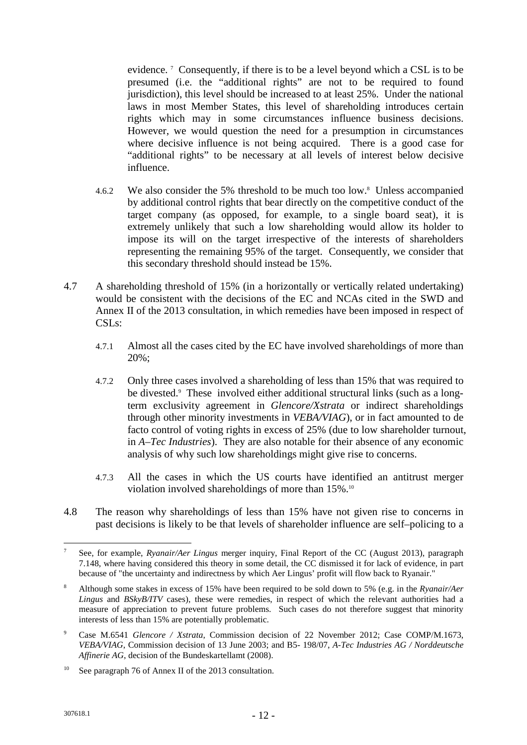evidence. <sup>7</sup> Consequently, if there is to be a level beyond which a CSL is to be presumed (i.e. the "additional rights" are not to be required to found jurisdiction), this level should be increased to at least 25%. Under the national laws in most Member States, this level of shareholding introduces certain rights which may in some circumstances influence business decisions. However, we would question the need for a presumption in circumstances where decisive influence is not being acquired. There is a good case for "additional rights" to be necessary at all levels of interest below decisive influence.

- 4.6.2 We also consider the 5% threshold to be much too low.<sup>8</sup> Unless accompanied by additional control rights that bear directly on the competitive conduct of the target company (as opposed, for example, to a single board seat), it is extremely unlikely that such a low shareholding would allow its holder to impose its will on the target irrespective of the interests of shareholders representing the remaining 95% of the target. Consequently, we consider that this secondary threshold should instead be 15%.
- 4.7 A shareholding threshold of 15% (in a horizontally or vertically related undertaking) would be consistent with the decisions of the EC and NCAs cited in the SWD and Annex II of the 2013 consultation, in which remedies have been imposed in respect of CSLs:
	- 4.7.1 Almost all the cases cited by the EC have involved shareholdings of more than 20%;
	- 4.7.2 Only three cases involved a shareholding of less than 15% that was required to be divested.<sup>9</sup> These involved either additional structural links (such as a longterm exclusivity agreement in *Glencore/Xstrata* or indirect shareholdings through other minority investments in *VEBA/VIAG*), or in fact amounted to de facto control of voting rights in excess of 25% (due to low shareholder turnout, in *A–Tec Industries*). They are also notable for their absence of any economic analysis of why such low shareholdings might give rise to concerns.
	- 4.7.3 All the cases in which the US courts have identified an antitrust merger violation involved shareholdings of more than 15%.<sup>10</sup>
- 4.8 The reason why shareholdings of less than 15% have not given rise to concerns in past decisions is likely to be that levels of shareholder influence are self–policing to a

<sup>7</sup> See, for example, *Ryanair/Aer Lingus* merger inquiry, Final Report of the CC (August 2013), paragraph 7.148, where having considered this theory in some detail, the CC dismissed it for lack of evidence, in part because of "the uncertainty and indirectness by which Aer Lingus' profit will flow back to Ryanair."

<sup>8</sup> Although some stakes in excess of 15% have been required to be sold down to 5% (e.g. in the *Ryanair/Aer Lingus* and *BSkyB/ITV* cases), these were remedies, in respect of which the relevant authorities had a measure of appreciation to prevent future problems. Such cases do not therefore suggest that minority interests of less than 15% are potentially problematic.

<sup>9</sup> Case M.6541 *Glencore / Xstrata*, Commission decision of 22 November 2012; Case COMP/M.1673, *VEBA/VIAG*, Commission decision of 13 June 2003; and B5- 198/07, *A-Tec Industries AG / Norddeutsche Affinerie AG*, decision of the Bundeskartellamt (2008).

<sup>10</sup> See paragraph 76 of Annex II of the 2013 consultation.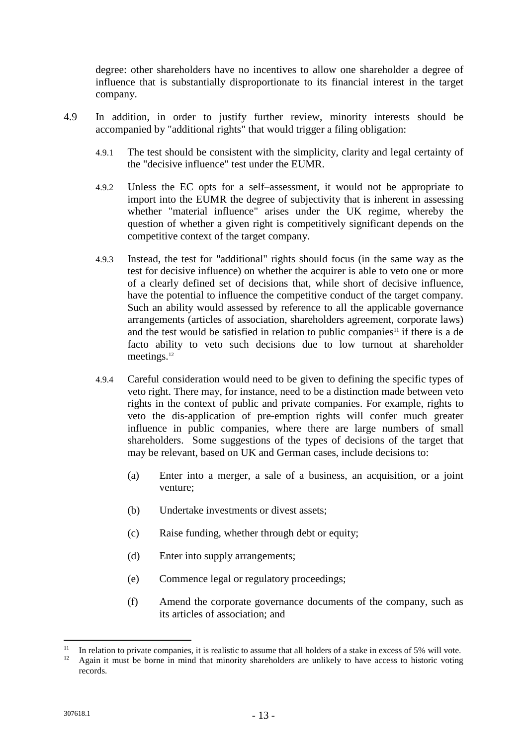degree: other shareholders have no incentives to allow one shareholder a degree of influence that is substantially disproportionate to its financial interest in the target company.

- 4.9 In addition, in order to justify further review, minority interests should be accompanied by "additional rights" that would trigger a filing obligation:
	- 4.9.1 The test should be consistent with the simplicity, clarity and legal certainty of the "decisive influence" test under the EUMR.
	- 4.9.2 Unless the EC opts for a self–assessment, it would not be appropriate to import into the EUMR the degree of subjectivity that is inherent in assessing whether "material influence" arises under the UK regime, whereby the question of whether a given right is competitively significant depends on the competitive context of the target company.
	- 4.9.3 Instead, the test for "additional" rights should focus (in the same way as the test for decisive influence) on whether the acquirer is able to veto one or more of a clearly defined set of decisions that, while short of decisive influence, have the potential to influence the competitive conduct of the target company. Such an ability would assessed by reference to all the applicable governance arrangements (articles of association, shareholders agreement, corporate laws) and the test would be satisfied in relation to public companies<sup>11</sup> if there is a de facto ability to veto such decisions due to low turnout at shareholder meetings.<sup>12</sup>
	- 4.9.4 Careful consideration would need to be given to defining the specific types of veto right. There may, for instance, need to be a distinction made between veto rights in the context of public and private companies. For example, rights to veto the dis-application of pre-emption rights will confer much greater influence in public companies, where there are large numbers of small shareholders. Some suggestions of the types of decisions of the target that may be relevant, based on UK and German cases, include decisions to:
		- (a) Enter into a merger, a sale of a business, an acquisition, or a joint venture;
		- (b) Undertake investments or divest assets;
		- (c) Raise funding, whether through debt or equity;
		- (d) Enter into supply arrangements;
		- (e) Commence legal or regulatory proceedings;
		- (f) Amend the corporate governance documents of the company, such as its articles of association; and

<sup>&</sup>lt;sup>11</sup> In relation to private companies, it is realistic to assume that all holders of a stake in excess of 5% will vote.

Again it must be borne in mind that minority shareholders are unlikely to have access to historic voting records.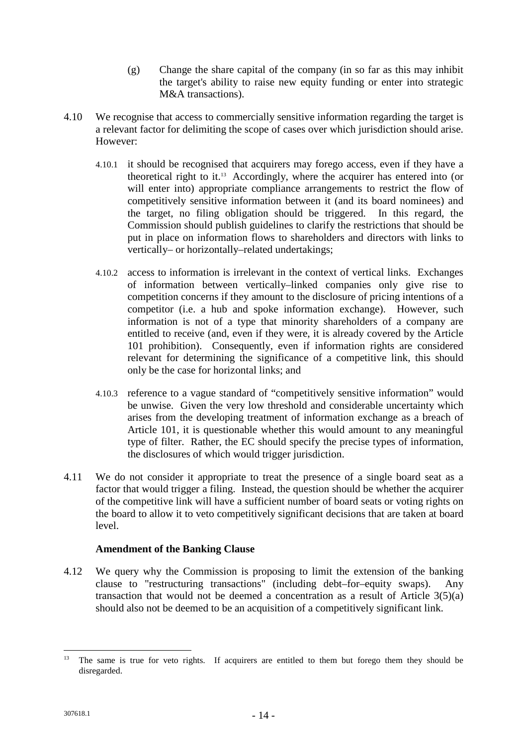- (g) Change the share capital of the company (in so far as this may inhibit the target's ability to raise new equity funding or enter into strategic M&A transactions).
- 4.10 We recognise that access to commercially sensitive information regarding the target is a relevant factor for delimiting the scope of cases over which jurisdiction should arise. However:
	- 4.10.1 it should be recognised that acquirers may forego access, even if they have a theoretical right to it.<sup>13</sup> Accordingly, where the acquirer has entered into (or will enter into) appropriate compliance arrangements to restrict the flow of competitively sensitive information between it (and its board nominees) and the target, no filing obligation should be triggered. In this regard, the Commission should publish guidelines to clarify the restrictions that should be put in place on information flows to shareholders and directors with links to vertically– or horizontally–related undertakings;
	- 4.10.2 access to information is irrelevant in the context of vertical links. Exchanges of information between vertically–linked companies only give rise to competition concerns if they amount to the disclosure of pricing intentions of a competitor (i.e. a hub and spoke information exchange). However, such information is not of a type that minority shareholders of a company are entitled to receive (and, even if they were, it is already covered by the Article 101 prohibition). Consequently, even if information rights are considered relevant for determining the significance of a competitive link, this should only be the case for horizontal links; and
	- 4.10.3 reference to a vague standard of "competitively sensitive information" would be unwise. Given the very low threshold and considerable uncertainty which arises from the developing treatment of information exchange as a breach of Article 101, it is questionable whether this would amount to any meaningful type of filter. Rather, the EC should specify the precise types of information, the disclosures of which would trigger jurisdiction.
- 4.11 We do not consider it appropriate to treat the presence of a single board seat as a factor that would trigger a filing. Instead, the question should be whether the acquirer of the competitive link will have a sufficient number of board seats or voting rights on the board to allow it to veto competitively significant decisions that are taken at board level.

# **Amendment of the Banking Clause**

4.12 We query why the Commission is proposing to limit the extension of the banking clause to "restructuring transactions" (including debt–for–equity swaps). Any transaction that would not be deemed a concentration as a result of Article 3(5)(a) should also not be deemed to be an acquisition of a competitively significant link.

<sup>&</sup>lt;sup>13</sup> The same is true for veto rights. If acquirers are entitled to them but forego them they should be disregarded.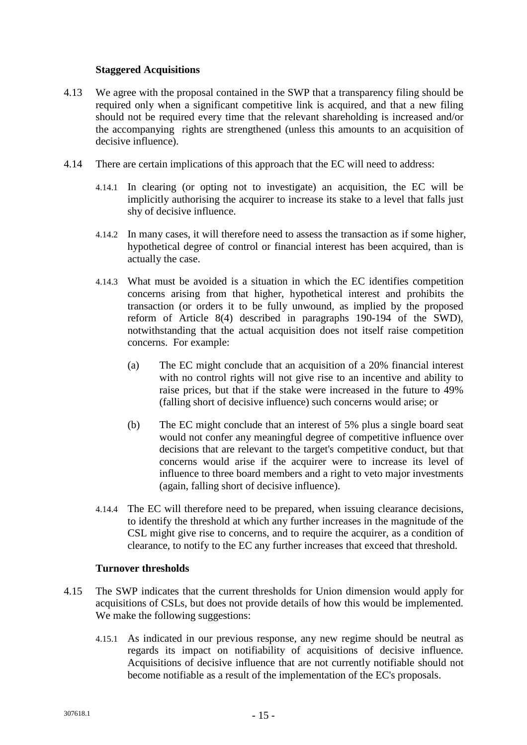### **Staggered Acquisitions**

- 4.13 We agree with the proposal contained in the SWP that a transparency filing should be required only when a significant competitive link is acquired, and that a new filing should not be required every time that the relevant shareholding is increased and/or the accompanying rights are strengthened (unless this amounts to an acquisition of decisive influence).
- 4.14 There are certain implications of this approach that the EC will need to address:
	- 4.14.1 In clearing (or opting not to investigate) an acquisition, the EC will be implicitly authorising the acquirer to increase its stake to a level that falls just shy of decisive influence.
	- 4.14.2 In many cases, it will therefore need to assess the transaction as if some higher, hypothetical degree of control or financial interest has been acquired, than is actually the case.
	- 4.14.3 What must be avoided is a situation in which the EC identifies competition concerns arising from that higher, hypothetical interest and prohibits the transaction (or orders it to be fully unwound, as implied by the proposed reform of Article 8(4) described in paragraphs 190-194 of the SWD), notwithstanding that the actual acquisition does not itself raise competition concerns. For example:
		- (a) The EC might conclude that an acquisition of a 20% financial interest with no control rights will not give rise to an incentive and ability to raise prices, but that if the stake were increased in the future to 49% (falling short of decisive influence) such concerns would arise; or
		- (b) The EC might conclude that an interest of 5% plus a single board seat would not confer any meaningful degree of competitive influence over decisions that are relevant to the target's competitive conduct, but that concerns would arise if the acquirer were to increase its level of influence to three board members and a right to veto major investments (again, falling short of decisive influence).
	- 4.14.4 The EC will therefore need to be prepared, when issuing clearance decisions, to identify the threshold at which any further increases in the magnitude of the CSL might give rise to concerns, and to require the acquirer, as a condition of clearance, to notify to the EC any further increases that exceed that threshold.

### **Turnover thresholds**

- 4.15 The SWP indicates that the current thresholds for Union dimension would apply for acquisitions of CSLs, but does not provide details of how this would be implemented. We make the following suggestions:
	- 4.15.1 As indicated in our previous response, any new regime should be neutral as regards its impact on notifiability of acquisitions of decisive influence. Acquisitions of decisive influence that are not currently notifiable should not become notifiable as a result of the implementation of the EC's proposals.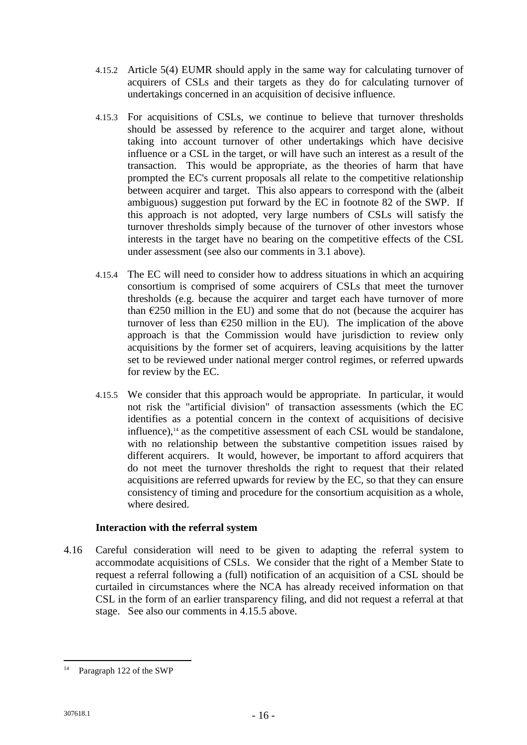- 4.15.2 Article 5(4) EUMR should apply in the same way for calculating turnover of acquirers of CSLs and their targets as they do for calculating turnover of undertakings concerned in an acquisition of decisive influence.
- 4.15.3 For acquisitions of CSLs, we continue to believe that turnover thresholds should be assessed by reference to the acquirer and target alone, without taking into account turnover of other undertakings which have decisive influence or a CSL in the target, or will have such an interest as a result of the transaction. This would be appropriate, as the theories of harm that have prompted the EC's current proposals all relate to the competitive relationship between acquirer and target. This also appears to correspond with the (albeit ambiguous) suggestion put forward by the EC in footnote 82 of the SWP. If this approach is not adopted, very large numbers of CSLs will satisfy the turnover thresholds simply because of the turnover of other investors whose interests in the target have no bearing on the competitive effects of the CSL under assessment (see also our comments in 3.1 above).
- 4.15.4 The EC will need to consider how to address situations in which an acquiring consortium is comprised of some acquirers of CSLs that meet the turnover thresholds (e.g. because the acquirer and target each have turnover of more than  $E250$  million in the EU) and some that do not (because the acquirer has turnover of less than  $E$  (250 million in the EU). The implication of the above approach is that the Commission would have jurisdiction to review only acquisitions by the former set of acquirers, leaving acquisitions by the latter set to be reviewed under national merger control regimes, or referred upwards for review by the EC.
- 4.15.5 We consider that this approach would be appropriate. In particular, it would not risk the "artificial division" of transaction assessments (which the EC identifies as a potential concern in the context of acquisitions of decisive influence), $14$  as the competitive assessment of each CSL would be standalone. with no relationship between the substantive competition issues raised by different acquirers. It would, however, be important to afford acquirers that do not meet the turnover thresholds the right to request that their related acquisitions are referred upwards for review by the EC, so that they can ensure consistency of timing and procedure for the consortium acquisition as a whole, where desired.

# **Interaction with the referral system**

4.16 Careful consideration will need to be given to adapting the referral system to accommodate acquisitions of CSLs. We consider that the right of a Member State to request a referral following a (full) notification of an acquisition of a CSL should be curtailed in circumstances where the NCA has already received information on that CSL in the form of an earlier transparency filing, and did not request a referral at that stage. See also our comments in 4.15.5 above.

<sup>14</sup> Paragraph 122 of the SWP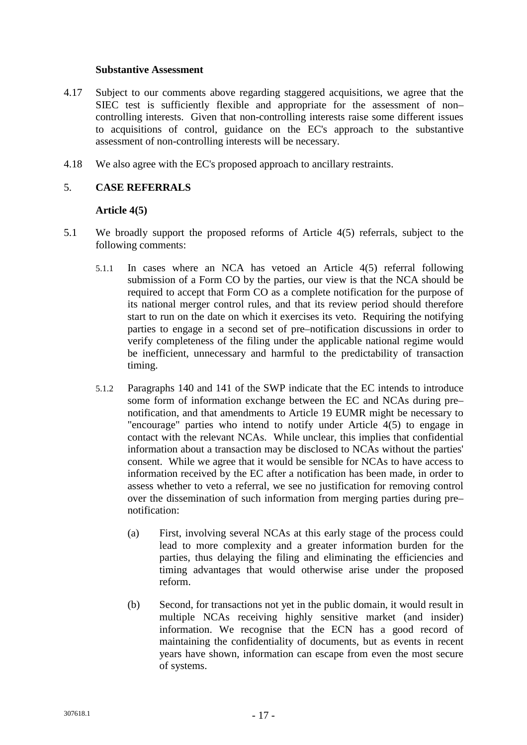#### **Substantive Assessment**

- 4.17 Subject to our comments above regarding staggered acquisitions, we agree that the SIEC test is sufficiently flexible and appropriate for the assessment of non– controlling interests. Given that non-controlling interests raise some different issues to acquisitions of control, guidance on the EC's approach to the substantive assessment of non-controlling interests will be necessary.
- 4.18 We also agree with the EC's proposed approach to ancillary restraints.

# 5. **CASE REFERRALS**

### **Article 4(5)**

- 5.1 We broadly support the proposed reforms of Article 4(5) referrals, subject to the following comments:
	- 5.1.1 In cases where an NCA has vetoed an Article 4(5) referral following submission of a Form CO by the parties, our view is that the NCA should be required to accept that Form CO as a complete notification for the purpose of its national merger control rules, and that its review period should therefore start to run on the date on which it exercises its veto. Requiring the notifying parties to engage in a second set of pre–notification discussions in order to verify completeness of the filing under the applicable national regime would be inefficient, unnecessary and harmful to the predictability of transaction timing.
	- 5.1.2 Paragraphs 140 and 141 of the SWP indicate that the EC intends to introduce some form of information exchange between the EC and NCAs during pre– notification, and that amendments to Article 19 EUMR might be necessary to "encourage" parties who intend to notify under Article 4(5) to engage in contact with the relevant NCAs. While unclear, this implies that confidential information about a transaction may be disclosed to NCAs without the parties' consent. While we agree that it would be sensible for NCAs to have access to information received by the EC after a notification has been made, in order to assess whether to veto a referral, we see no justification for removing control over the dissemination of such information from merging parties during pre– notification:
		- (a) First, involving several NCAs at this early stage of the process could lead to more complexity and a greater information burden for the parties, thus delaying the filing and eliminating the efficiencies and timing advantages that would otherwise arise under the proposed reform.
		- (b) Second, for transactions not yet in the public domain, it would result in multiple NCAs receiving highly sensitive market (and insider) information. We recognise that the ECN has a good record of maintaining the confidentiality of documents, but as events in recent years have shown, information can escape from even the most secure of systems.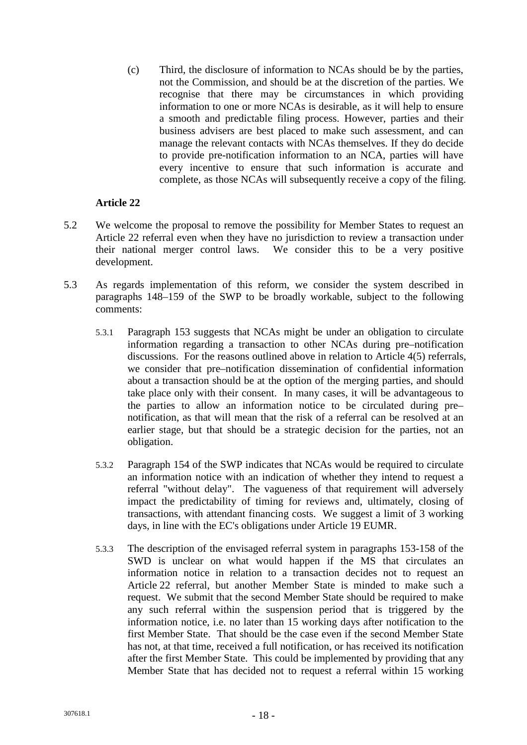(c) Third, the disclosure of information to NCAs should be by the parties, not the Commission, and should be at the discretion of the parties. We recognise that there may be circumstances in which providing information to one or more NCAs is desirable, as it will help to ensure a smooth and predictable filing process. However, parties and their business advisers are best placed to make such assessment, and can manage the relevant contacts with NCAs themselves. If they do decide to provide pre-notification information to an NCA, parties will have every incentive to ensure that such information is accurate and complete, as those NCAs will subsequently receive a copy of the filing.

# **Article 22**

- 5.2 We welcome the proposal to remove the possibility for Member States to request an Article 22 referral even when they have no jurisdiction to review a transaction under their national merger control laws. We consider this to be a very positive development.
- 5.3 As regards implementation of this reform, we consider the system described in paragraphs 148–159 of the SWP to be broadly workable, subject to the following comments:
	- 5.3.1 Paragraph 153 suggests that NCAs might be under an obligation to circulate information regarding a transaction to other NCAs during pre–notification discussions. For the reasons outlined above in relation to Article 4(5) referrals, we consider that pre–notification dissemination of confidential information about a transaction should be at the option of the merging parties, and should take place only with their consent. In many cases, it will be advantageous to the parties to allow an information notice to be circulated during pre– notification, as that will mean that the risk of a referral can be resolved at an earlier stage, but that should be a strategic decision for the parties, not an obligation.
	- 5.3.2 Paragraph 154 of the SWP indicates that NCAs would be required to circulate an information notice with an indication of whether they intend to request a referral "without delay". The vagueness of that requirement will adversely impact the predictability of timing for reviews and, ultimately, closing of transactions, with attendant financing costs. We suggest a limit of 3 working days, in line with the EC's obligations under Article 19 EUMR.
	- 5.3.3 The description of the envisaged referral system in paragraphs 153-158 of the SWD is unclear on what would happen if the MS that circulates an information notice in relation to a transaction decides not to request an Article 22 referral, but another Member State is minded to make such a request. We submit that the second Member State should be required to make any such referral within the suspension period that is triggered by the information notice, i.e. no later than 15 working days after notification to the first Member State. That should be the case even if the second Member State has not, at that time, received a full notification, or has received its notification after the first Member State. This could be implemented by providing that any Member State that has decided not to request a referral within 15 working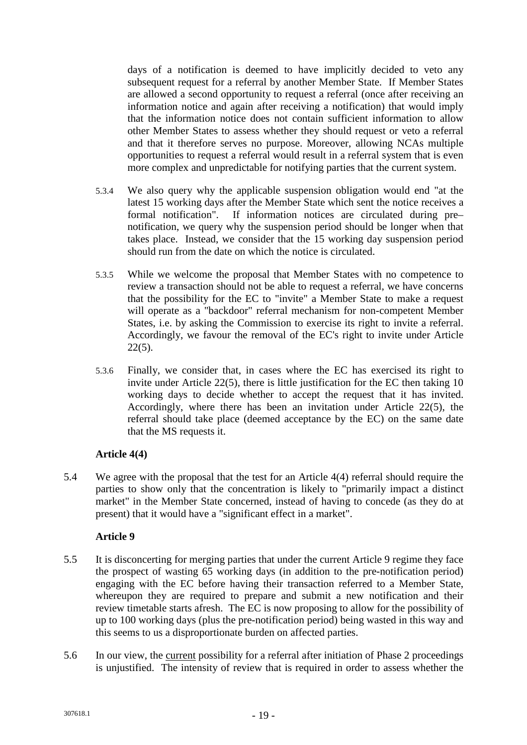days of a notification is deemed to have implicitly decided to veto any subsequent request for a referral by another Member State. If Member States are allowed a second opportunity to request a referral (once after receiving an information notice and again after receiving a notification) that would imply that the information notice does not contain sufficient information to allow other Member States to assess whether they should request or veto a referral and that it therefore serves no purpose. Moreover, allowing NCAs multiple opportunities to request a referral would result in a referral system that is even more complex and unpredictable for notifying parties that the current system.

- 5.3.4 We also query why the applicable suspension obligation would end "at the latest 15 working days after the Member State which sent the notice receives a formal notification". If information notices are circulated during pre– notification, we query why the suspension period should be longer when that takes place. Instead, we consider that the 15 working day suspension period should run from the date on which the notice is circulated.
- 5.3.5 While we welcome the proposal that Member States with no competence to review a transaction should not be able to request a referral, we have concerns that the possibility for the EC to "invite" a Member State to make a request will operate as a "backdoor" referral mechanism for non-competent Member States, i.e. by asking the Commission to exercise its right to invite a referral. Accordingly, we favour the removal of the EC's right to invite under Article 22(5).
- 5.3.6 Finally, we consider that, in cases where the EC has exercised its right to invite under Article 22(5), there is little justification for the EC then taking 10 working days to decide whether to accept the request that it has invited. Accordingly, where there has been an invitation under Article 22(5), the referral should take place (deemed acceptance by the EC) on the same date that the MS requests it.

# **Article 4(4)**

5.4 We agree with the proposal that the test for an Article 4(4) referral should require the parties to show only that the concentration is likely to "primarily impact a distinct market" in the Member State concerned, instead of having to concede (as they do at present) that it would have a "significant effect in a market".

# **Article 9**

- 5.5 It is disconcerting for merging parties that under the current Article 9 regime they face the prospect of wasting 65 working days (in addition to the pre-notification period) engaging with the EC before having their transaction referred to a Member State, whereupon they are required to prepare and submit a new notification and their review timetable starts afresh. The EC is now proposing to allow for the possibility of up to 100 working days (plus the pre-notification period) being wasted in this way and this seems to us a disproportionate burden on affected parties.
- 5.6 In our view, the current possibility for a referral after initiation of Phase 2 proceedings is unjustified. The intensity of review that is required in order to assess whether the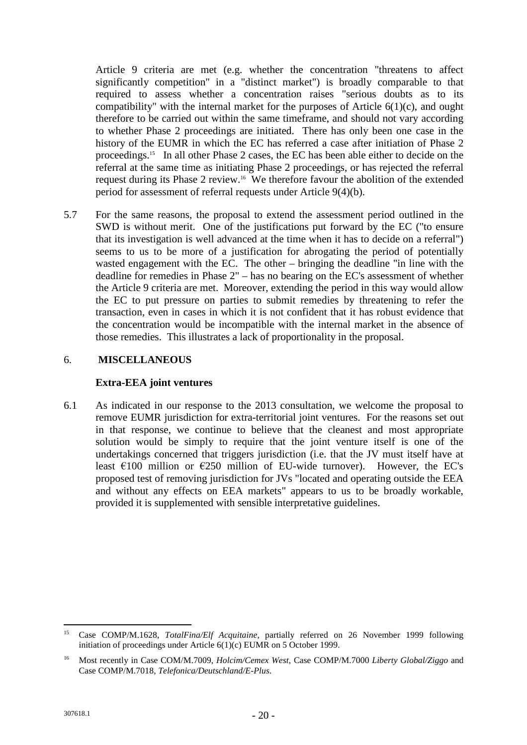Article 9 criteria are met (e.g. whether the concentration "threatens to affect significantly competition" in a "distinct market") is broadly comparable to that required to assess whether a concentration raises "serious doubts as to its compatibility" with the internal market for the purposes of Article 6(1)(c), and ought therefore to be carried out within the same timeframe, and should not vary according to whether Phase 2 proceedings are initiated. There has only been one case in the history of the EUMR in which the EC has referred a case after initiation of Phase 2 proceedings.<sup>15</sup> In all other Phase 2 cases, the EC has been able either to decide on the referral at the same time as initiating Phase 2 proceedings, or has rejected the referral request during its Phase 2 review.<sup>16</sup> We therefore favour the abolition of the extended period for assessment of referral requests under Article 9(4)(b).

5.7 For the same reasons, the proposal to extend the assessment period outlined in the SWD is without merit. One of the justifications put forward by the EC ("to ensure that its investigation is well advanced at the time when it has to decide on a referral") seems to us to be more of a justification for abrogating the period of potentially wasted engagement with the EC. The other – bringing the deadline "in line with the deadline for remedies in Phase 2" – has no bearing on the EC's assessment of whether the Article 9 criteria are met. Moreover, extending the period in this way would allow the EC to put pressure on parties to submit remedies by threatening to refer the transaction, even in cases in which it is not confident that it has robust evidence that the concentration would be incompatible with the internal market in the absence of those remedies. This illustrates a lack of proportionality in the proposal.

### 6. **MISCELLANEOUS**

### **Extra-EEA joint ventures**

6.1 As indicated in our response to the 2013 consultation, we welcome the proposal to remove EUMR jurisdiction for extra-territorial joint ventures. For the reasons set out in that response, we continue to believe that the cleanest and most appropriate solution would be simply to require that the joint venture itself is one of the undertakings concerned that triggers jurisdiction (i.e. that the JV must itself have at least  $\epsilon$ 100 million or  $\epsilon$ 250 million of EU-wide turnover). However, the EC's proposed test of removing jurisdiction for JVs "located and operating outside the EEA and without any effects on EEA markets" appears to us to be broadly workable, provided it is supplemented with sensible interpretative guidelines.

<sup>15</sup> Case COMP/M.1628, *TotalFina/Elf Acquitaine*, partially referred on 26 November 1999 following initiation of proceedings under Article 6(1)(c) EUMR on 5 October 1999.

<sup>16</sup> Most recently in Case COM/M.7009, *Holcim/Cemex West*, Case COMP/M.7000 *Liberty Global/Ziggo* and Case COMP/M.7018, *Telefonica/Deutschland/E-Plus*.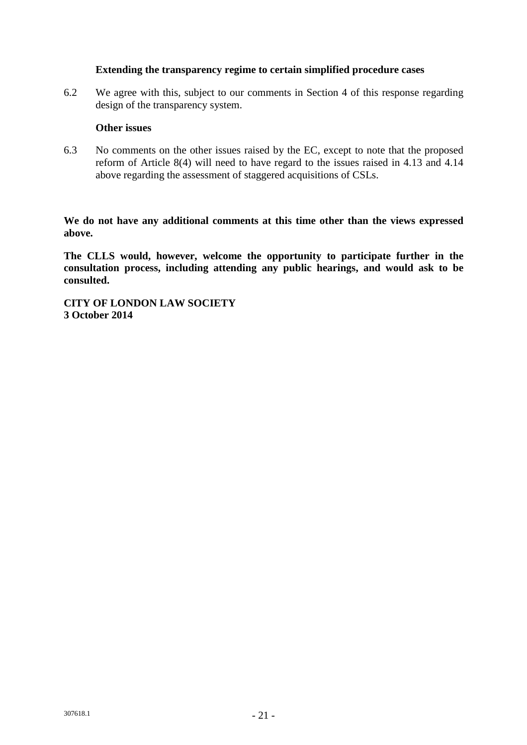### **Extending the transparency regime to certain simplified procedure cases**

6.2 We agree with this, subject to our comments in Section 4 of this response regarding design of the transparency system.

#### **Other issues**

6.3 No comments on the other issues raised by the EC, except to note that the proposed reform of Article 8(4) will need to have regard to the issues raised in 4.13 and 4.14 above regarding the assessment of staggered acquisitions of CSLs.

**We do not have any additional comments at this time other than the views expressed above.**

**The CLLS would, however, welcome the opportunity to participate further in the consultation process, including attending any public hearings, and would ask to be consulted.**

**CITY OF LONDON LAW SOCIETY 3 October 2014**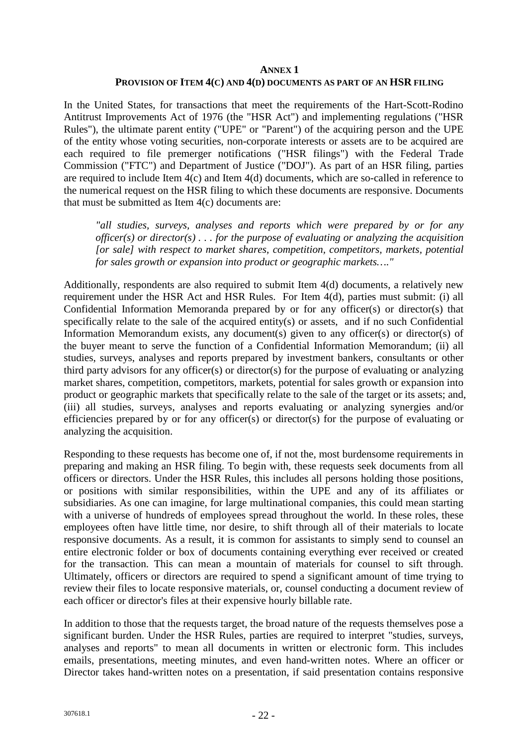#### **ANNEX 1**

#### **PROVISION OF ITEM 4(C) AND 4(D) DOCUMENTS AS PART OF AN HSR FILING**

In the United States, for transactions that meet the requirements of the Hart-Scott-Rodino Antitrust Improvements Act of 1976 (the "HSR Act") and implementing regulations ("HSR Rules"), the ultimate parent entity ("UPE" or "Parent") of the acquiring person and the UPE of the entity whose voting securities, non-corporate interests or assets are to be acquired are each required to file premerger notifications ("HSR filings") with the Federal Trade Commission ("FTC") and Department of Justice ("DOJ"). As part of an HSR filing, parties are required to include Item 4(c) and Item 4(d) documents, which are so-called in reference to the numerical request on the HSR filing to which these documents are responsive. Documents that must be submitted as Item 4(c) documents are:

*"all studies, surveys, analyses and reports which were prepared by or for any officer(s) or director(s) . . . for the purpose of evaluating or analyzing the acquisition [or sale] with respect to market shares, competition, competitors, markets, potential for sales growth or expansion into product or geographic markets…."*

Additionally, respondents are also required to submit Item 4(d) documents, a relatively new requirement under the HSR Act and HSR Rules. For Item 4(d), parties must submit: (i) all Confidential Information Memoranda prepared by or for any officer(s) or director(s) that specifically relate to the sale of the acquired entity(s) or assets, and if no such Confidential Information Memorandum exists, any document(s) given to any officer(s) or director(s) of the buyer meant to serve the function of a Confidential Information Memorandum; (ii) all studies, surveys, analyses and reports prepared by investment bankers, consultants or other third party advisors for any officer(s) or director(s) for the purpose of evaluating or analyzing market shares, competition, competitors, markets, potential for sales growth or expansion into product or geographic markets that specifically relate to the sale of the target or its assets; and, (iii) all studies, surveys, analyses and reports evaluating or analyzing synergies and/or efficiencies prepared by or for any officer(s) or director(s) for the purpose of evaluating or analyzing the acquisition.

Responding to these requests has become one of, if not the, most burdensome requirements in preparing and making an HSR filing. To begin with, these requests seek documents from all officers or directors. Under the HSR Rules, this includes all persons holding those positions, or positions with similar responsibilities, within the UPE and any of its affiliates or subsidiaries. As one can imagine, for large multinational companies, this could mean starting with a universe of hundreds of employees spread throughout the world. In these roles, these employees often have little time, nor desire, to shift through all of their materials to locate responsive documents. As a result, it is common for assistants to simply send to counsel an entire electronic folder or box of documents containing everything ever received or created for the transaction. This can mean a mountain of materials for counsel to sift through. Ultimately, officers or directors are required to spend a significant amount of time trying to review their files to locate responsive materials, or, counsel conducting a document review of each officer or director's files at their expensive hourly billable rate.

In addition to those that the requests target, the broad nature of the requests themselves pose a significant burden. Under the HSR Rules, parties are required to interpret "studies, surveys, analyses and reports" to mean all documents in written or electronic form. This includes emails, presentations, meeting minutes, and even hand-written notes. Where an officer or Director takes hand-written notes on a presentation, if said presentation contains responsive